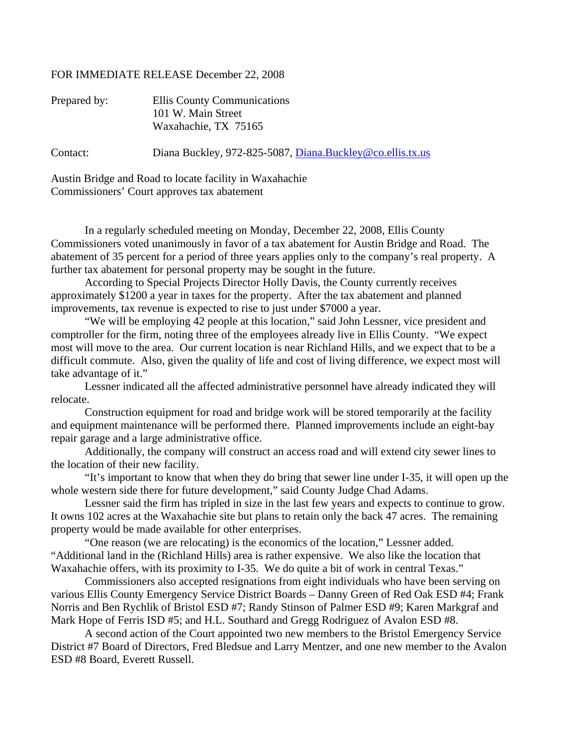## FOR IMMEDIATE RELEASE December 22, 2008

| Prepared by: | Ellis County Communications                               |
|--------------|-----------------------------------------------------------|
|              | 101 W. Main Street                                        |
|              | Waxahachie, TX 75165                                      |
| Contact:     | Diana Buckley, 972-825-5087, Diana.Buckley@co.ellis.tx.us |
|              |                                                           |

Austin Bridge and Road to locate facility in Waxahachie Commissioners' Court approves tax abatement

 In a regularly scheduled meeting on Monday, December 22, 2008, Ellis County Commissioners voted unanimously in favor of a tax abatement for Austin Bridge and Road. The abatement of 35 percent for a period of three years applies only to the company's real property. A further tax abatement for personal property may be sought in the future.

 According to Special Projects Director Holly Davis, the County currently receives approximately \$1200 a year in taxes for the property. After the tax abatement and planned improvements, tax revenue is expected to rise to just under \$7000 a year.

 "We will be employing 42 people at this location," said John Lessner, vice president and comptroller for the firm, noting three of the employees already live in Ellis County. "We expect most will move to the area. Our current location is near Richland Hills, and we expect that to be a difficult commute. Also, given the quality of life and cost of living difference, we expect most will take advantage of it."

 Lessner indicated all the affected administrative personnel have already indicated they will relocate.

 Construction equipment for road and bridge work will be stored temporarily at the facility and equipment maintenance will be performed there. Planned improvements include an eight-bay repair garage and a large administrative office.

 Additionally, the company will construct an access road and will extend city sewer lines to the location of their new facility.

 "It's important to know that when they do bring that sewer line under I-35, it will open up the whole western side there for future development," said County Judge Chad Adams.

 Lessner said the firm has tripled in size in the last few years and expects to continue to grow. It owns 102 acres at the Waxahachie site but plans to retain only the back 47 acres. The remaining property would be made available for other enterprises.

 "One reason (we are relocating) is the economics of the location," Lessner added. "Additional land in the (Richland Hills) area is rather expensive. We also like the location that Waxahachie offers, with its proximity to I-35. We do quite a bit of work in central Texas."

 Commissioners also accepted resignations from eight individuals who have been serving on various Ellis County Emergency Service District Boards – Danny Green of Red Oak ESD #4; Frank Norris and Ben Rychlik of Bristol ESD #7; Randy Stinson of Palmer ESD #9; Karen Markgraf and Mark Hope of Ferris ISD #5; and H.L. Southard and Gregg Rodriguez of Avalon ESD #8.

A second action of the Court appointed two new members to the Bristol Emergency Service District #7 Board of Directors, Fred Bledsue and Larry Mentzer, and one new member to the Avalon ESD #8 Board, Everett Russell.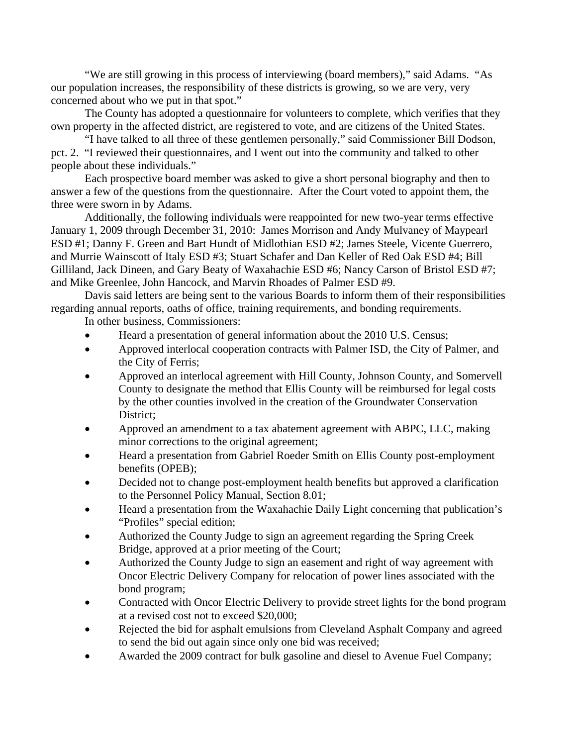"We are still growing in this process of interviewing (board members)," said Adams. "As our population increases, the responsibility of these districts is growing, so we are very, very concerned about who we put in that spot."

 The County has adopted a questionnaire for volunteers to complete, which verifies that they own property in the affected district, are registered to vote, and are citizens of the United States.

 "I have talked to all three of these gentlemen personally," said Commissioner Bill Dodson, pct. 2. "I reviewed their questionnaires, and I went out into the community and talked to other people about these individuals."

 Each prospective board member was asked to give a short personal biography and then to answer a few of the questions from the questionnaire. After the Court voted to appoint them, the three were sworn in by Adams.

 Additionally, the following individuals were reappointed for new two-year terms effective January 1, 2009 through December 31, 2010: James Morrison and Andy Mulvaney of Maypearl ESD #1; Danny F. Green and Bart Hundt of Midlothian ESD #2; James Steele, Vicente Guerrero, and Murrie Wainscott of Italy ESD #3; Stuart Schafer and Dan Keller of Red Oak ESD #4; Bill Gilliland, Jack Dineen, and Gary Beaty of Waxahachie ESD #6; Nancy Carson of Bristol ESD #7; and Mike Greenlee, John Hancock, and Marvin Rhoades of Palmer ESD #9.

 Davis said letters are being sent to the various Boards to inform them of their responsibilities regarding annual reports, oaths of office, training requirements, and bonding requirements. In other business, Commissioners:

- Heard a presentation of general information about the 2010 U.S. Census;
- Approved interlocal cooperation contracts with Palmer ISD, the City of Palmer, and the City of Ferris;
- Approved an interlocal agreement with Hill County, Johnson County, and Somervell County to designate the method that Ellis County will be reimbursed for legal costs by the other counties involved in the creation of the Groundwater Conservation District;
- Approved an amendment to a tax abatement agreement with ABPC, LLC, making minor corrections to the original agreement;
- Heard a presentation from Gabriel Roeder Smith on Ellis County post-employment benefits (OPEB);
- Decided not to change post-employment health benefits but approved a clarification to the Personnel Policy Manual, Section 8.01;
- Heard a presentation from the Waxahachie Daily Light concerning that publication's "Profiles" special edition;
- Authorized the County Judge to sign an agreement regarding the Spring Creek Bridge, approved at a prior meeting of the Court;
- Authorized the County Judge to sign an easement and right of way agreement with Oncor Electric Delivery Company for relocation of power lines associated with the bond program;
- Contracted with Oncor Electric Delivery to provide street lights for the bond program at a revised cost not to exceed \$20,000;
- Rejected the bid for asphalt emulsions from Cleveland Asphalt Company and agreed to send the bid out again since only one bid was received;
- Awarded the 2009 contract for bulk gasoline and diesel to Avenue Fuel Company;